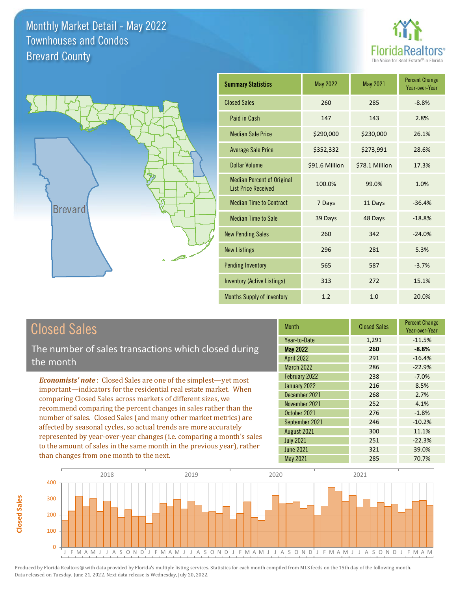



| <b>Summary Statistics</b>                                       | May 2022       | May 2021       | <b>Percent Change</b><br>Year-over-Year |
|-----------------------------------------------------------------|----------------|----------------|-----------------------------------------|
| <b>Closed Sales</b>                                             | 260            | 285            | $-8.8%$                                 |
| Paid in Cash                                                    | 147            | 143            | 2.8%                                    |
| <b>Median Sale Price</b>                                        | \$290,000      | \$230,000      | 26.1%                                   |
| <b>Average Sale Price</b>                                       | \$352,332      | \$273,991      | 28.6%                                   |
| <b>Dollar Volume</b>                                            | \$91.6 Million | \$78.1 Million | 17.3%                                   |
| <b>Median Percent of Original</b><br><b>List Price Received</b> | 100.0%         | 99.0%          | 1.0%                                    |
| <b>Median Time to Contract</b>                                  | 7 Days         | 11 Days        | $-36.4%$                                |
| <b>Median Time to Sale</b>                                      | 39 Days        | 48 Days        | $-18.8%$                                |
| <b>New Pending Sales</b>                                        | 260            | 342            | $-24.0%$                                |
| <b>New Listings</b>                                             | 296            | 281            | 5.3%                                    |
| <b>Pending Inventory</b>                                        | 565            | 587            | $-3.7%$                                 |
| <b>Inventory (Active Listings)</b>                              | 313            | 272            | 15.1%                                   |
| <b>Months Supply of Inventory</b>                               | 1.2            | 1.0            | 20.0%                                   |

# Closed Sales

The number of sales transactions which closed during the month

*Economists' note* : Closed Sales are one of the simplest—yet most important—indicators for the residential real estate market. When comparing Closed Sales across markets of different sizes, we recommend comparing the percent changes in sales rather than the number of sales. Closed Sales (and many other market metrics) are affected by seasonal cycles, so actual trends are more accurately represented by year-over-year changes (i.e. comparing a month's sales to the amount of sales in the same month in the previous year), rather than changes from one month to the next.

| <b>Month</b>      | <b>Closed Sales</b> | <b>Percent Change</b><br>Year-over-Year |
|-------------------|---------------------|-----------------------------------------|
| Year-to-Date      | 1,291               | $-11.5%$                                |
| <b>May 2022</b>   | 260                 | $-8.8%$                                 |
| <b>April 2022</b> | 291                 | $-16.4%$                                |
| <b>March 2022</b> | 286                 | $-22.9%$                                |
| February 2022     | 238                 | $-7.0%$                                 |
| January 2022      | 216                 | 8.5%                                    |
| December 2021     | 268                 | 2.7%                                    |
| November 2021     | 252                 | 4.1%                                    |
| October 2021      | 276                 | $-1.8%$                                 |
| September 2021    | 246                 | $-10.2%$                                |
| August 2021       | 300                 | 11.1%                                   |
| <b>July 2021</b>  | 251                 | $-22.3%$                                |
| <b>June 2021</b>  | 321                 | 39.0%                                   |
| May 2021          | 285                 | 70.7%                                   |

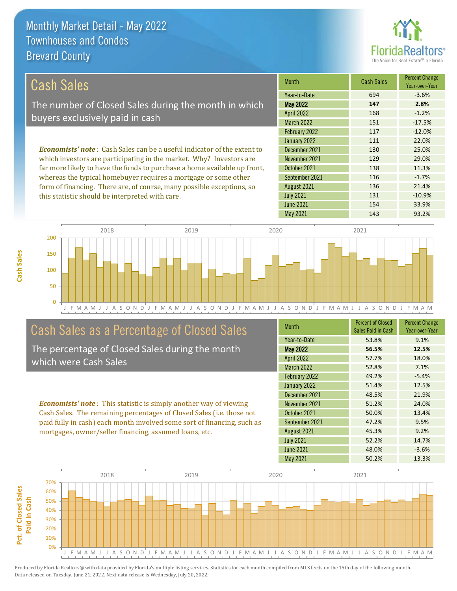

136 21.4%

131 -10.9%

| Cash Sales                                                                     | <b>Month</b>      | <b>Cash Sales</b> | <b>Percent Change</b><br>Year-over-Year |
|--------------------------------------------------------------------------------|-------------------|-------------------|-----------------------------------------|
|                                                                                | Year-to-Date      | 694               | $-3.6%$                                 |
| The number of Closed Sales during the month in which                           | <b>May 2022</b>   | 147               | 2.8%                                    |
| buyers exclusively paid in cash                                                | <b>April 2022</b> | 168               | $-1.2%$                                 |
|                                                                                | <b>March 2022</b> | 151               | $-17.5%$                                |
|                                                                                | February 2022     | 117               | $-12.0%$                                |
|                                                                                | January 2022      | 111               | 22.0%                                   |
| <b>Economists' note:</b> Cash Sales can be a useful indicator of the extent to | December 2021     | 130               | 25.0%                                   |
| which investors are participating in the market. Why? Investors are            | November 2021     | 129               | 29.0%                                   |
| far more likely to have the funds to purchase a home available up front,       | October 2021      | 138               | 11.3%                                   |
| whereas the typical homebuyer requires a mortgage or some other                | September 2021    | 116               | $-1.7%$                                 |

J F M A M J J A S O N D J F M A M J J A S O N D J F M A M J J A S O N D J F M A M J J A S O N D J F M A M 0 50 100 150 200 2018 2019 2020 2021

# Cash Sales as a Percentage of Closed Sales

form of financing. There are, of course, many possible exceptions, so

this statistic should be interpreted with care.

The percentage of Closed Sales during the month which were Cash Sales

*Economists' note* : This statistic is simply another way of viewing Cash Sales. The remaining percentages of Closed Sales (i.e. those not paid fully in cash) each month involved some sort of financing, such as mortgages, owner/seller financing, assumed loans, etc.

| <b>Month</b>      | <b>Percent of Closed</b><br>Sales Paid in Cash | <b>Percent Change</b><br>Year-over-Year |
|-------------------|------------------------------------------------|-----------------------------------------|
| Year-to-Date      | 53.8%                                          | 9.1%                                    |
| <b>May 2022</b>   | 56.5%                                          | 12.5%                                   |
| <b>April 2022</b> | 57.7%                                          | 18.0%                                   |
| <b>March 2022</b> | 52.8%                                          | 7.1%                                    |
| February 2022     | 49.2%                                          | $-5.4%$                                 |
| January 2022      | 51.4%                                          | 12.5%                                   |
| December 2021     | 48.5%                                          | 21.9%                                   |
| November 2021     | 51.2%                                          | 24.0%                                   |
| October 2021      | 50.0%                                          | 13.4%                                   |
| September 2021    | 47.2%                                          | 9.5%                                    |
| August 2021       | 45.3%                                          | 9.2%                                    |
| <b>July 2021</b>  | 52.2%                                          | 14.7%                                   |
| <b>June 2021</b>  | 48.0%                                          | $-3.6%$                                 |
| May 2021          | 50.2%                                          | 13.3%                                   |

May 2021 143 93.2%

June 2021 **154** 33.9%

July 2021

August 2021

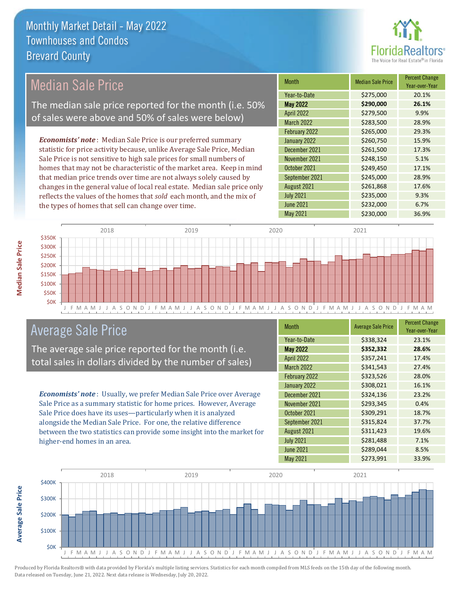

#### *Economists' note* : Median Sale Price is our preferred summary statistic for price activity because, unlike Average Sale Price, Median Sale Price is not sensitive to high sale prices for small numbers of homes that may not be characteristic of the market area. Keep in mind Median Sale Price The median sale price reported for the month (i.e. 50% of sales were above and 50% of sales were below)

that median price trends over time are not always solely caused by changes in the general value of local real estate. Median sale price only reflects the values of the homes that *sold* each month, and the mix of the types of homes that sell can change over time.

| <b>Month</b>      | <b>Median Sale Price</b> | <b>Percent Change</b><br>Year-over-Year |
|-------------------|--------------------------|-----------------------------------------|
| Year-to-Date      | \$275,000                | 20.1%                                   |
| <b>May 2022</b>   | \$290,000                | 26.1%                                   |
| <b>April 2022</b> | \$279,500                | 9.9%                                    |
| <b>March 2022</b> | \$283,500                | 28.9%                                   |
| February 2022     | \$265,000                | 29.3%                                   |
| January 2022      | \$260,750                | 15.9%                                   |
| December 2021     | \$261,500                | 17.3%                                   |
| November 2021     | \$248,150                | 5.1%                                    |
| October 2021      | \$249,450                | 17.1%                                   |
| September 2021    | \$245,000                | 28.9%                                   |
| August 2021       | \$261,868                | 17.6%                                   |
| <b>July 2021</b>  | \$235,000                | 9.3%                                    |
| <b>June 2021</b>  | \$232,000                | 6.7%                                    |
| <b>May 2021</b>   | \$230,000                | 36.9%                                   |



# Average Sale Price

The average sale price reported for the month (i.e. total sales in dollars divided by the number of sales)

*Economists' note* : Usually, we prefer Median Sale Price over Average Sale Price as a summary statistic for home prices. However, Average Sale Price does have its uses—particularly when it is analyzed alongside the Median Sale Price. For one, the relative difference between the two statistics can provide some insight into the market for higher-end homes in an area.

| <b>Month</b>      | <b>Average Sale Price</b> | <b>Percent Change</b><br>Year-over-Year |
|-------------------|---------------------------|-----------------------------------------|
| Year-to-Date      | \$338,324                 | 23.1%                                   |
| <b>May 2022</b>   | \$352,332                 | 28.6%                                   |
| <b>April 2022</b> | \$357,241                 | 17.4%                                   |
| <b>March 2022</b> | \$341,543                 | 27.4%                                   |
| February 2022     | \$323,526                 | 28.0%                                   |
| January 2022      | \$308,021                 | 16.1%                                   |
| December 2021     | \$324,136                 | 23.2%                                   |
| November 2021     | \$293,345                 | 0.4%                                    |
| October 2021      | \$309,291                 | 18.7%                                   |
| September 2021    | \$315,824                 | 37.7%                                   |
| August 2021       | \$311,423                 | 19.6%                                   |
| <b>July 2021</b>  | \$281,488                 | 7.1%                                    |
| <b>June 2021</b>  | \$289,044                 | 8.5%                                    |
| May 2021          | \$273,991                 | 33.9%                                   |



Produced by Florida Realtors® with data provided by Florida's multiple listing services. Statistics for each month compiled from MLS feeds on the 15th day of the following month. Data released on Tuesday, June 21, 2022. Next data release is Wednesday, July 20, 2022.

**Average Sale Price**

Average Sale Price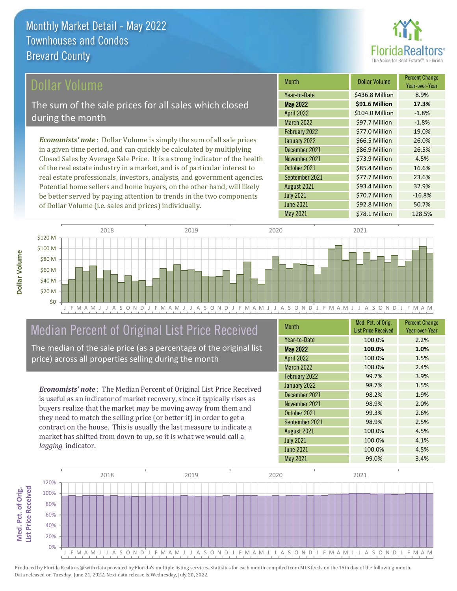

## ollar Volume

The sum of the sale prices for all sales which closed during the month

*Economists' note* : Dollar Volume is simply the sum of all sale prices in a given time period, and can quickly be calculated by multiplying Closed Sales by Average Sale Price. It is a strong indicator of the health of the real estate industry in a market, and is of particular interest to real estate professionals, investors, analysts, and government agencies. Potential home sellers and home buyers, on the other hand, will likely be better served by paying attention to trends in the two components of Dollar Volume (i.e. sales and prices) individually.

| <b>Month</b>      | <b>Dollar Volume</b> | <b>Percent Change</b><br>Year-over-Year |
|-------------------|----------------------|-----------------------------------------|
| Year-to-Date      | \$436.8 Million      | 8.9%                                    |
| <b>May 2022</b>   | \$91.6 Million       | 17.3%                                   |
| <b>April 2022</b> | \$104.0 Million      | $-1.8%$                                 |
| <b>March 2022</b> | \$97.7 Million       | $-1.8%$                                 |
| February 2022     | \$77.0 Million       | 19.0%                                   |
| January 2022      | \$66.5 Million       | 26.0%                                   |
| December 2021     | \$86.9 Million       | 26.5%                                   |
| November 2021     | \$73.9 Million       | 4.5%                                    |
| October 2021      | \$85.4 Million       | 16.6%                                   |
| September 2021    | \$77.7 Million       | 23.6%                                   |
| August 2021       | \$93.4 Million       | 32.9%                                   |
| <b>July 2021</b>  | \$70.7 Million       | $-16.8%$                                |
| <b>June 2021</b>  | \$92.8 Million       | 50.7%                                   |
| <b>May 2021</b>   | \$78.1 Million       | 128.5%                                  |



# Median Percent of Original List Price Received

The median of the sale price (as a percentage of the original list price) across all properties selling during the month

*Economists' note* : The Median Percent of Original List Price Received is useful as an indicator of market recovery, since it typically rises as buyers realize that the market may be moving away from them and they need to match the selling price (or better it) in order to get a contract on the house. This is usually the last measure to indicate a market has shifted from down to up, so it is what we would call a *lagging* indicator.

| <b>Month</b>      | Med. Pct. of Orig.<br><b>List Price Received</b> | <b>Percent Change</b><br>Year-over-Year |
|-------------------|--------------------------------------------------|-----------------------------------------|
| Year-to-Date      | 100.0%                                           | 2.2%                                    |
| <b>May 2022</b>   | 100.0%                                           | 1.0%                                    |
| <b>April 2022</b> | 100.0%                                           | 1.5%                                    |
| <b>March 2022</b> | 100.0%                                           | 2.4%                                    |
| February 2022     | 99.7%                                            | 3.9%                                    |
| January 2022      | 98.7%                                            | 1.5%                                    |
| December 2021     | 98.2%                                            | 1.9%                                    |
| November 2021     | 98.9%                                            | 2.0%                                    |
| October 2021      | 99.3%                                            | 2.6%                                    |
| September 2021    | 98.9%                                            | 2.5%                                    |
| August 2021       | 100.0%                                           | 4.5%                                    |
| <b>July 2021</b>  | 100.0%                                           | 4.1%                                    |
| <b>June 2021</b>  | 100.0%                                           | 4.5%                                    |
| <b>May 2021</b>   | 99.0%                                            | 3.4%                                    |

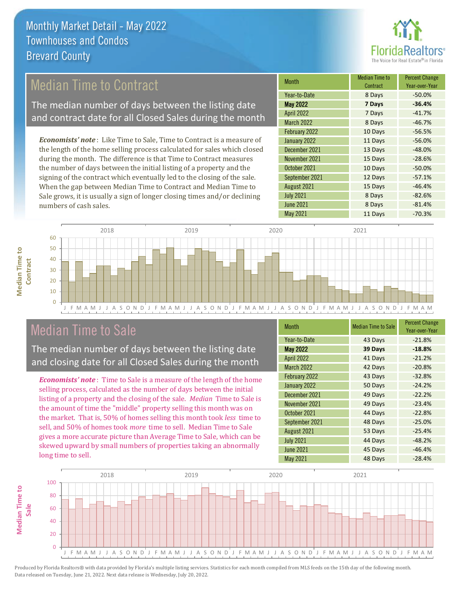

# Median Time to Contract

The median number of days between the listing date and contract date for all Closed Sales during the month

*Economists' note* : Like Time to Sale, Time to Contract is a measure of the length of the home selling process calculated for sales which closed during the month. The difference is that Time to Contract measures the number of days between the initial listing of a property and the signing of the contract which eventually led to the closing of the sale. When the gap between Median Time to Contract and Median Time to Sale grows, it is usually a sign of longer closing times and/or declining numbers of cash sales.

| Month             | <b>Median Time to</b><br>Contract | <b>Percent Change</b><br>Year-over-Year |
|-------------------|-----------------------------------|-----------------------------------------|
| Year-to-Date      | 8 Days                            | $-50.0%$                                |
| <b>May 2022</b>   | 7 Days                            | $-36.4%$                                |
| <b>April 2022</b> | 7 Days                            | $-41.7%$                                |
| <b>March 2022</b> | 8 Days                            | $-46.7%$                                |
| February 2022     | 10 Days                           | $-56.5%$                                |
| January 2022      | 11 Days                           | $-56.0%$                                |
| December 2021     | 13 Days                           | $-48.0%$                                |
| November 2021     | 15 Days                           | $-28.6%$                                |
| October 2021      | 10 Days                           | $-50.0%$                                |
| September 2021    | 12 Days                           | $-57.1%$                                |
| August 2021       | 15 Days                           | $-46.4%$                                |
| <b>July 2021</b>  | 8 Days                            | $-82.6%$                                |
| <b>June 2021</b>  | 8 Days                            | $-81.4%$                                |
| <b>May 2021</b>   | 11 Days                           | $-70.3%$                                |



# Median Time to Sale

**Median Time to** 

**Median Time to** 

The median number of days between the listing date and closing date for all Closed Sales during the month

*Economists' note* : Time to Sale is a measure of the length of the home selling process, calculated as the number of days between the initial listing of a property and the closing of the sale. *Median* Time to Sale is the amount of time the "middle" property selling this month was on the market. That is, 50% of homes selling this month took *less* time to sell, and 50% of homes took *more* time to sell. Median Time to Sale gives a more accurate picture than Average Time to Sale, which can be skewed upward by small numbers of properties taking an abnormally long time to sell.

| <b>Month</b>      | <b>Median Time to Sale</b> | <b>Percent Change</b><br>Year-over-Year |
|-------------------|----------------------------|-----------------------------------------|
| Year-to-Date      | 43 Days                    | $-21.8%$                                |
| <b>May 2022</b>   | 39 Days                    | $-18.8%$                                |
| <b>April 2022</b> | 41 Days                    | $-21.2%$                                |
| <b>March 2022</b> | 42 Days                    | $-20.8%$                                |
| February 2022     | 43 Days                    | $-32.8%$                                |
| January 2022      | 50 Days                    | $-24.2%$                                |
| December 2021     | 49 Days                    | $-22.2%$                                |
| November 2021     | 49 Days                    | $-23.4%$                                |
| October 2021      | 44 Days                    | $-22.8%$                                |
| September 2021    | 48 Days                    | $-25.0%$                                |
| August 2021       | 53 Days                    | $-25.4%$                                |
| <b>July 2021</b>  | 44 Days                    | $-48.2%$                                |
| <b>June 2021</b>  | 45 Days                    | $-46.4%$                                |
| <b>May 2021</b>   | 48 Days                    | $-28.4%$                                |

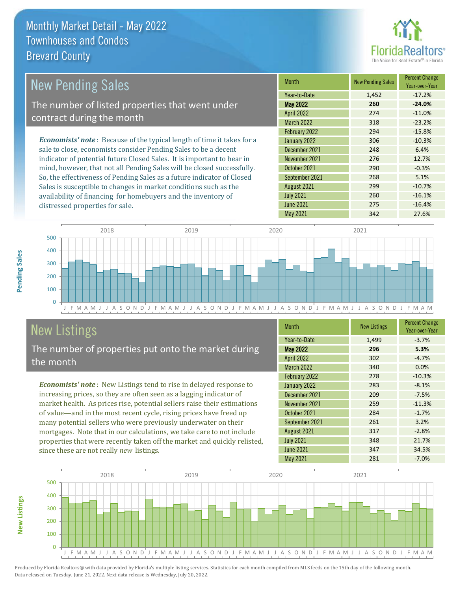distressed properties for sale.



| <b>New Pending Sales</b>                                                       | <b>Month</b>      | <b>New Pending Sales</b> | <b>Percent Change</b><br>Year-over-Year |
|--------------------------------------------------------------------------------|-------------------|--------------------------|-----------------------------------------|
|                                                                                | Year-to-Date      | 1,452                    | $-17.2%$                                |
| The number of listed properties that went under                                | <b>May 2022</b>   | 260                      | $-24.0%$                                |
| contract during the month                                                      | <b>April 2022</b> | 274                      | $-11.0%$                                |
|                                                                                | <b>March 2022</b> | 318                      | $-23.2%$                                |
|                                                                                | February 2022     | 294                      | $-15.8%$                                |
| <b>Economists' note</b> : Because of the typical length of time it takes for a | January 2022      | 306                      | $-10.3%$                                |
| sale to close, economists consider Pending Sales to be a decent                | December 2021     | 248                      | 6.4%                                    |
| indicator of potential future Closed Sales. It is important to bear in         | November 2021     | 276                      | 12.7%                                   |
| mind, however, that not all Pending Sales will be closed successfully.         | October 2021      | 290                      | $-0.3%$                                 |
| So, the effectiveness of Pending Sales as a future indicator of Closed         | September 2021    | 268                      | 5.1%                                    |
| Sales is susceptible to changes in market conditions such as the               | August 2021       | 299                      | $-10.7%$                                |



# New Listings

The number of properties put onto the market during the month

availability of financing for homebuyers and the inventory of

*Economists' note* : New Listings tend to rise in delayed response to increasing prices, so they are often seen as a lagging indicator of market health. As prices rise, potential sellers raise their estimations of value—and in the most recent cycle, rising prices have freed up many potential sellers who were previously underwater on their mortgages. Note that in our calculations, we take care to not include properties that were recently taken off the market and quickly relisted, since these are not really *new* listings.

| <b>Month</b>      | <b>New Listings</b> | <b>Percent Change</b><br>Year-over-Year |
|-------------------|---------------------|-----------------------------------------|
| Year-to-Date      | 1,499               | $-3.7%$                                 |
| <b>May 2022</b>   | 296                 | 5.3%                                    |
| April 2022        | 302                 | $-4.7%$                                 |
| <b>March 2022</b> | 340                 | 0.0%                                    |
| February 2022     | 278                 | $-10.3%$                                |
| January 2022      | 283                 | $-8.1%$                                 |
| December 2021     | 209                 | $-7.5%$                                 |
| November 2021     | 259                 | $-11.3%$                                |
| October 2021      | 284                 | $-1.7%$                                 |
| September 2021    | 261                 | 3.2%                                    |
| August 2021       | 317                 | $-2.8%$                                 |
| <b>July 2021</b>  | 348                 | 21.7%                                   |
| <b>June 2021</b>  | 347                 | 34.5%                                   |
| May 2021          | 281                 | $-7.0%$                                 |

July 2021 260 260 -16.1% June 2021 275 -16.4%



Produced by Florida Realtors® with data provided by Florida's multiple listing services. Statistics for each month compiled from MLS feeds on the 15th day of the following month. Data released on Tuesday, June 21, 2022. Next data release is Wednesday, July 20, 2022.

**New Listings**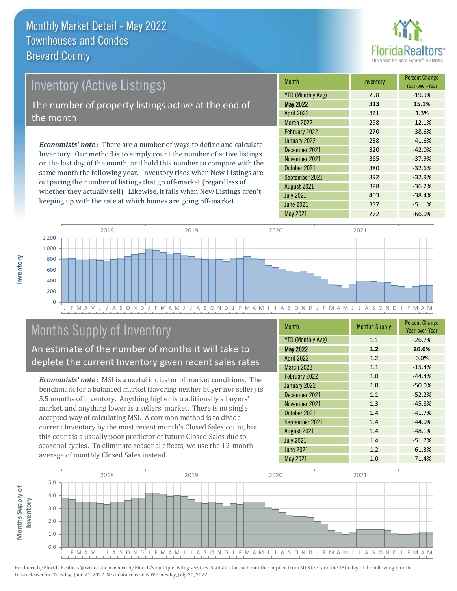

# Inventory (Active Listings) The number of property listings active at the end of the month

*Economists' note* : There are a number of ways to define and calculate Inventory. Our method is to simply count the number of active listings on the last day of the month, and hold this number to compare with the same month the following year. Inventory rises when New Listings are outpacing the number of listings that go off-market (regardless of whether they actually sell). Likewise, it falls when New Listings aren't keeping up with the rate at which homes are going off-market.

| <b>Month</b>             | Inventory | <b>Percent Change</b><br>Year-over-Year |
|--------------------------|-----------|-----------------------------------------|
| <b>YTD (Monthly Avg)</b> | 298       | $-19.9%$                                |
| <b>May 2022</b>          | 313       | 15.1%                                   |
| <b>April 2022</b>        | 321       | 1.3%                                    |
| <b>March 2022</b>        | 298       | $-12.1%$                                |
| February 2022            | 270       | $-38.6%$                                |
| January 2022             | 288       | $-41.6%$                                |
| December 2021            | 320       | $-42.0%$                                |
| November 2021            | 365       | $-37.9%$                                |
| October 2021             | 380       | $-32.6%$                                |
| September 2021           | 392       | $-32.9%$                                |
| August 2021              | 398       | $-36.2%$                                |
| <b>July 2021</b>         | 403       | $-38.4%$                                |
| <b>June 2021</b>         | 337       | $-51.1%$                                |
| <b>May 2021</b>          | 272       | $-66.0%$                                |



# Months Supply of Inventory

An estimate of the number of months it will take to deplete the current Inventory given recent sales rates

*Economists' note* : MSI is a useful indicator of market conditions. The benchmark for a balanced market (favoring neither buyer nor seller) is 5.5 months of inventory. Anything higher is traditionally a buyers' market, and anything lower is a sellers' market. There is no single accepted way of calculating MSI. A common method is to divide current Inventory by the most recent month's Closed Sales count, but this count is a usually poor predictor of future Closed Sales due to seasonal cycles. To eliminate seasonal effects, we use the 12-month average of monthly Closed Sales instead.

| <b>Month</b>             | <b>Months Supply</b> | <b>Percent Change</b><br>Year-over-Year |
|--------------------------|----------------------|-----------------------------------------|
| <b>YTD (Monthly Avg)</b> | 1.1                  | $-26.7%$                                |
| <b>May 2022</b>          | 1.2                  | 20.0%                                   |
| <b>April 2022</b>        | 1.2                  | 0.0%                                    |
| <b>March 2022</b>        | 1.1                  | $-15.4%$                                |
| February 2022            | 1.0                  | $-44.4%$                                |
| January 2022             | 1.0                  | $-50.0%$                                |
| December 2021            | 1.1                  | $-52.2%$                                |
| November 2021            | 1.3                  | $-45.8%$                                |
| October 2021             | 1.4                  | $-41.7%$                                |
| September 2021           | 1.4                  | $-44.0%$                                |
| August 2021              | 1.4                  | $-48.1%$                                |
| <b>July 2021</b>         | 1.4                  | $-51.7%$                                |
| <b>June 2021</b>         | 1.2                  | $-61.3%$                                |
| May 2021                 | 1.0                  | $-71.4%$                                |



**Inventory**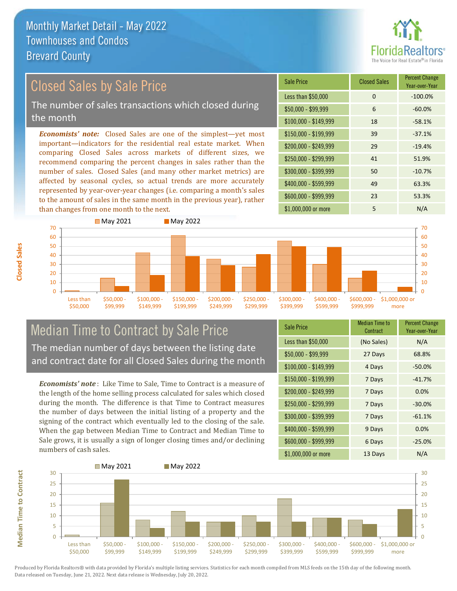

#### *Economists' note:* Closed Sales are one of the simplest—yet most important—indicators for the residential real estate market. When comparing Closed Sales across markets of different sizes, we recommend comparing the percent changes in sales rather than the number of sales. Closed Sales (and many other market metrics) are affected by seasonal cycles, so actual trends are more accurately represented by year-over-year changes (i.e. comparing a month's sales to the amount of sales in the same month in the previous year), rather than changes from one month to the next. \$1,000,000 or more 5 N/A \$250,000 - \$299,999 41 51.9% \$300,000 - \$399,999 50 -10.7% \$400,000 - \$599,999 49 63.3% \$600,000 - \$999,999 23 53.3% \$150,000 - \$199,999 39 -37.1% \$200,000 - \$249,999 29 -19.4%  $$100,000 - $149,999$  18 -58.1% Sale Price Closed Sales Percent Change Year-over-Year Less than \$50,000 0 0 -100.0%  $$50,000 - $99,999$  6 -60.0% Closed Sales by Sale Price The number of sales transactions which closed during the month



## Median Time to Contract by Sale Price The median number of days between the listing date and contract date for all Closed Sales during the month

*Economists' note* : Like Time to Sale, Time to Contract is a measure of the length of the home selling process calculated for sales which closed during the month. The difference is that Time to Contract measures the number of days between the initial listing of a property and the signing of the contract which eventually led to the closing of the sale. When the gap between Median Time to Contract and Median Time to Sale grows, it is usually a sign of longer closing times and/or declining numbers of cash sales.

| <b>Sale Price</b>     | <b>Median Time to</b><br><b>Contract</b> | <b>Percent Change</b><br>Year-over-Year |
|-----------------------|------------------------------------------|-----------------------------------------|
| Less than \$50,000    | (No Sales)                               | N/A                                     |
| $$50,000 - $99,999$   | 27 Days                                  | 68.8%                                   |
| $$100,000 - $149,999$ | 4 Days                                   | $-50.0%$                                |
| \$150,000 - \$199,999 | 7 Days                                   | $-41.7%$                                |
| \$200,000 - \$249,999 | 7 Days                                   | 0.0%                                    |
| \$250,000 - \$299,999 | 7 Days                                   | $-30.0%$                                |
| \$300,000 - \$399,999 | 7 Days                                   | $-61.1%$                                |
| \$400,000 - \$599,999 | 9 Days                                   | 0.0%                                    |
| \$600,000 - \$999,999 | 6 Days                                   | $-25.0%$                                |
| \$1,000,000 or more   | 13 Days                                  | N/A                                     |

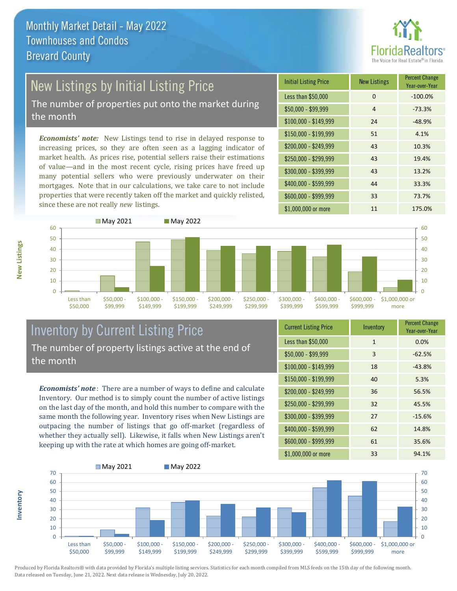

# New Listings by Initial Listing Price

The number of properties put onto the market during the month

*Economists' note:* New Listings tend to rise in delayed response to increasing prices, so they are often seen as a lagging indicator of market health. As prices rise, potential sellers raise their estimations of value—and in the most recent cycle, rising prices have freed up many potential sellers who were previously underwater on their mortgages. Note that in our calculations, we take care to not include properties that were recently taken off the market and quickly relisted, since these are not really *new* listings.





### Inventory by Current Listing Price The number of property listings active at the end of the month

*Economists' note* : There are a number of ways to define and calculate Inventory. Our method is to simply count the number of active listings on the last day of the month, and hold this number to compare with the same month the following year. Inventory rises when New Listings are outpacing the number of listings that go off-market (regardless of whether they actually sell). Likewise, it falls when New Listings aren't keeping up with the rate at which homes are going off-market.

| <b>Current Listing Price</b> | Inventory    | <b>Percent Change</b><br>Year-over-Year |
|------------------------------|--------------|-----------------------------------------|
| Less than \$50,000           | $\mathbf{1}$ | 0.0%                                    |
| $$50,000 - $99,999$          | 3            | $-62.5%$                                |
| $$100,000 - $149,999$        | 18           | $-43.8%$                                |
| $$150,000 - $199,999$        | 40           | 5.3%                                    |
| \$200,000 - \$249,999        | 36           | 56.5%                                   |
| \$250,000 - \$299,999        | 32           | 45.5%                                   |
| \$300,000 - \$399,999        | 27           | $-15.6%$                                |
| \$400,000 - \$599,999        | 62           | 14.8%                                   |
| \$600,000 - \$999,999        | 61           | 35.6%                                   |
| \$1,000,000 or more          | 33           | 94.1%                                   |



Produced by Florida Realtors® with data provided by Florida's multiple listing services. Statistics for each month compiled from MLS feeds on the 15th day of the following month. Data released on Tuesday, June 21, 2022. Next data release is Wednesday, July 20, 2022.

**Inventory**